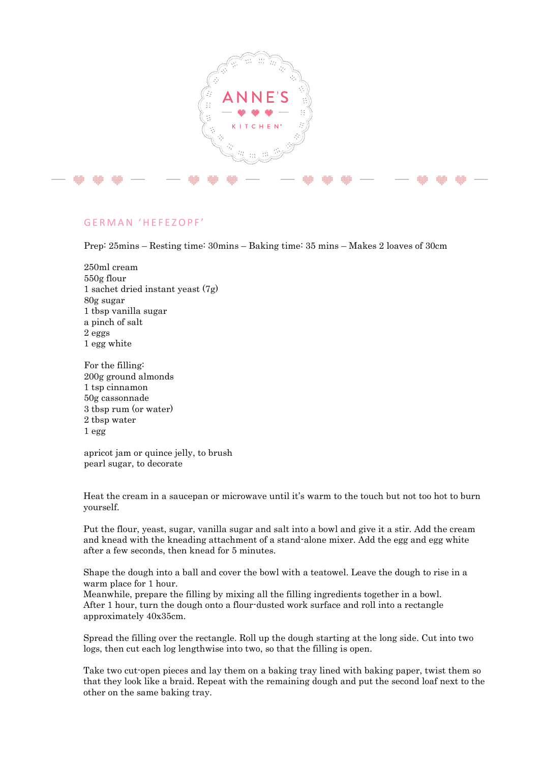

## G E R M A N ' H E F E Z O P F '

Prep: 25mins – Resting time: 30mins – Baking time: 35 mins – Makes 2 loaves of 30cm

- 250ml cream 550g flour 1 sachet dried instant yeast (7g) 80g sugar 1 tbsp vanilla sugar a pinch of salt 2 eggs 1 egg white
- For the filling: 200g ground almonds 1 tsp cinnamon 50g cassonnade 3 tbsp rum (or water) 2 tbsp water 1 egg

apricot jam or quince jelly, to brush pearl sugar, to decorate

Heat the cream in a saucepan or microwave until it's warm to the touch but not too hot to burn yourself.

Put the flour, yeast, sugar, vanilla sugar and salt into a bowl and give it a stir. Add the cream and knead with the kneading attachment of a stand-alone mixer. Add the egg and egg white after a few seconds, then knead for 5 minutes.

Shape the dough into a ball and cover the bowl with a teatowel. Leave the dough to rise in a warm place for 1 hour.

Meanwhile, prepare the filling by mixing all the filling ingredients together in a bowl. After 1 hour, turn the dough onto a flour-dusted work surface and roll into a rectangle approximately 40x35cm.

Spread the filling over the rectangle. Roll up the dough starting at the long side. Cut into two logs, then cut each log lengthwise into two, so that the filling is open.

Take two cut-open pieces and lay them on a baking tray lined with baking paper, twist them so that they look like a braid. Repeat with the remaining dough and put the second loaf next to the other on the same baking tray.